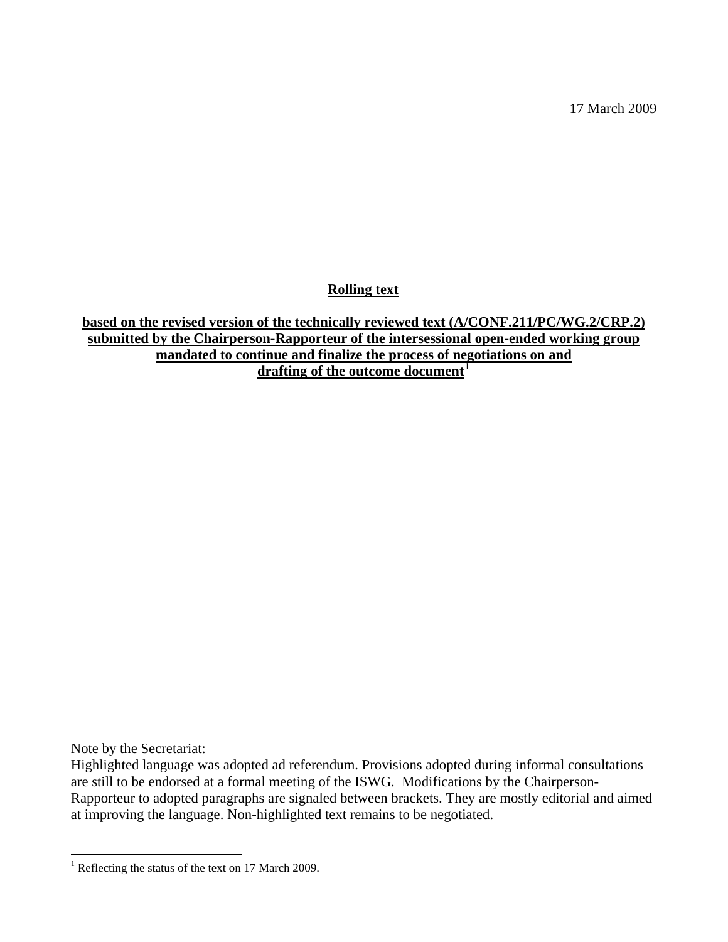17 March 2009

**Rolling text**

**based on the revised version of the technically reviewed text (A/CONF.211/PC/WG.2/CRP.2) submitted by the Chairperson-Rapporteur of the intersessional open-ended working group mandated to continue and finalize the process of negotiations on and** drafting of the outcome document<sup>[1](#page-0-0)</sup>

Note by the Secretariat:

1

Highlighted language was adopted ad referendum. Provisions adopted during informal consultations are still to be endorsed at a formal meeting of the ISWG. Modifications by the Chairperson-Rapporteur to adopted paragraphs are signaled between brackets. They are mostly editorial and aimed at improving the language. Non-highlighted text remains to be negotiated.

<span id="page-0-0"></span><sup>&</sup>lt;sup>1</sup> Reflecting the status of the text on 17 March 2009.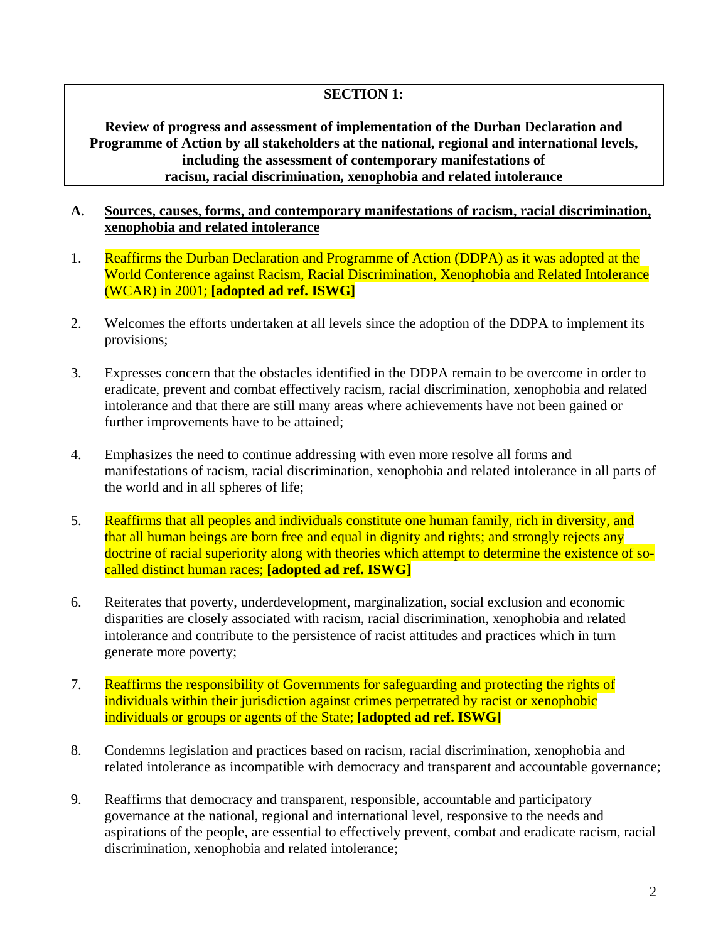## **SECTION 1:**

**Review of progress and assessment of implementation of the Durban Declaration and Programme of Action by all stakeholders at the national, regional and international levels, including the assessment of contemporary manifestations of racism, racial discrimination, xenophobia and related intolerance** 

#### **A. Sources, causes, forms, and contemporary manifestations of racism, racial discrimination, xenophobia and related intolerance**

- 1. Reaffirms the Durban Declaration and Programme of Action (DDPA) as it was adopted at the World Conference against Racism, Racial Discrimination, Xenophobia and Related Intolerance (WCAR) in 2001; **[adopted ad ref. ISWG]**
- 2. Welcomes the efforts undertaken at all levels since the adoption of the DDPA to implement its provisions;
- 3. Expresses concern that the obstacles identified in the DDPA remain to be overcome in order to eradicate, prevent and combat effectively racism, racial discrimination, xenophobia and related intolerance and that there are still many areas where achievements have not been gained or further improvements have to be attained;
- 4. Emphasizes the need to continue addressing with even more resolve all forms and manifestations of racism, racial discrimination, xenophobia and related intolerance in all parts of the world and in all spheres of life;
- 5. Reaffirms that all peoples and individuals constitute one human family, rich in diversity, and that all human beings are born free and equal in dignity and rights; and strongly rejects any doctrine of racial superiority along with theories which attempt to determine the existence of socalled distinct human races; **[adopted ad ref. ISWG]**
- 6. Reiterates that poverty, underdevelopment, marginalization, social exclusion and economic disparities are closely associated with racism, racial discrimination, xenophobia and related intolerance and contribute to the persistence of racist attitudes and practices which in turn generate more poverty;
- 7. Reaffirms the responsibility of Governments for safeguarding and protecting the rights of individuals within their jurisdiction against crimes perpetrated by racist or xenophobic individuals or groups or agents of the State; **[adopted ad ref. ISWG]**
- 8. Condemns legislation and practices based on racism, racial discrimination, xenophobia and related intolerance as incompatible with democracy and transparent and accountable governance;
- 9. Reaffirms that democracy and transparent, responsible, accountable and participatory governance at the national, regional and international level, responsive to the needs and aspirations of the people, are essential to effectively prevent, combat and eradicate racism, racial discrimination, xenophobia and related intolerance;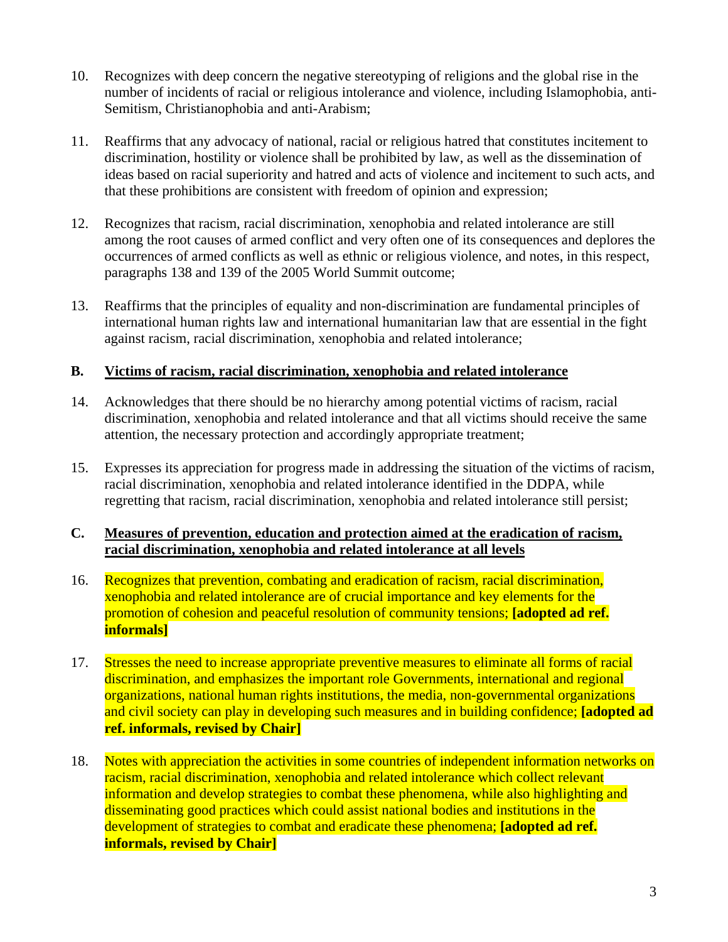- 10. Recognizes with deep concern the negative stereotyping of religions and the global rise in the number of incidents of racial or religious intolerance and violence, including Islamophobia, anti-Semitism, Christianophobia and anti-Arabism;
- 11. Reaffirms that any advocacy of national, racial or religious hatred that constitutes incitement to discrimination, hostility or violence shall be prohibited by law, as well as the dissemination of ideas based on racial superiority and hatred and acts of violence and incitement to such acts, and that these prohibitions are consistent with freedom of opinion and expression;
- 12. Recognizes that racism, racial discrimination, xenophobia and related intolerance are still among the root causes of armed conflict and very often one of its consequences and deplores the occurrences of armed conflicts as well as ethnic or religious violence, and notes, in this respect, paragraphs 138 and 139 of the 2005 World Summit outcome;
- 13. Reaffirms that the principles of equality and non-discrimination are fundamental principles of international human rights law and international humanitarian law that are essential in the fight against racism, racial discrimination, xenophobia and related intolerance;

## **B. Victims of racism, racial discrimination, xenophobia and related intolerance**

- 14. Acknowledges that there should be no hierarchy among potential victims of racism, racial discrimination, xenophobia and related intolerance and that all victims should receive the same attention, the necessary protection and accordingly appropriate treatment;
- 15. Expresses its appreciation for progress made in addressing the situation of the victims of racism, racial discrimination, xenophobia and related intolerance identified in the DDPA, while regretting that racism, racial discrimination, xenophobia and related intolerance still persist;

## **C. Measures of prevention, education and protection aimed at the eradication of racism, racial discrimination, xenophobia and related intolerance at all levels**

- 16. Recognizes that prevention, combating and eradication of racism, racial discrimination, xenophobia and related intolerance are of crucial importance and key elements for the promotion of cohesion and peaceful resolution of community tensions; **[adopted ad ref. informals]**
- 17. Stresses the need to increase appropriate preventive measures to eliminate all forms of racial discrimination, and emphasizes the important role Governments, international and regional organizations, national human rights institutions, the media, non-governmental organizations and civil society can play in developing such measures and in building confidence; **[adopted ad ref. informals, revised by Chair]**
- 18. Notes with appreciation the activities in some countries of independent information networks on racism, racial discrimination, xenophobia and related intolerance which collect relevant information and develop strategies to combat these phenomena, while also highlighting and disseminating good practices which could assist national bodies and institutions in the development of strategies to combat and eradicate these phenomena; **[adopted ad ref. informals, revised by Chair]**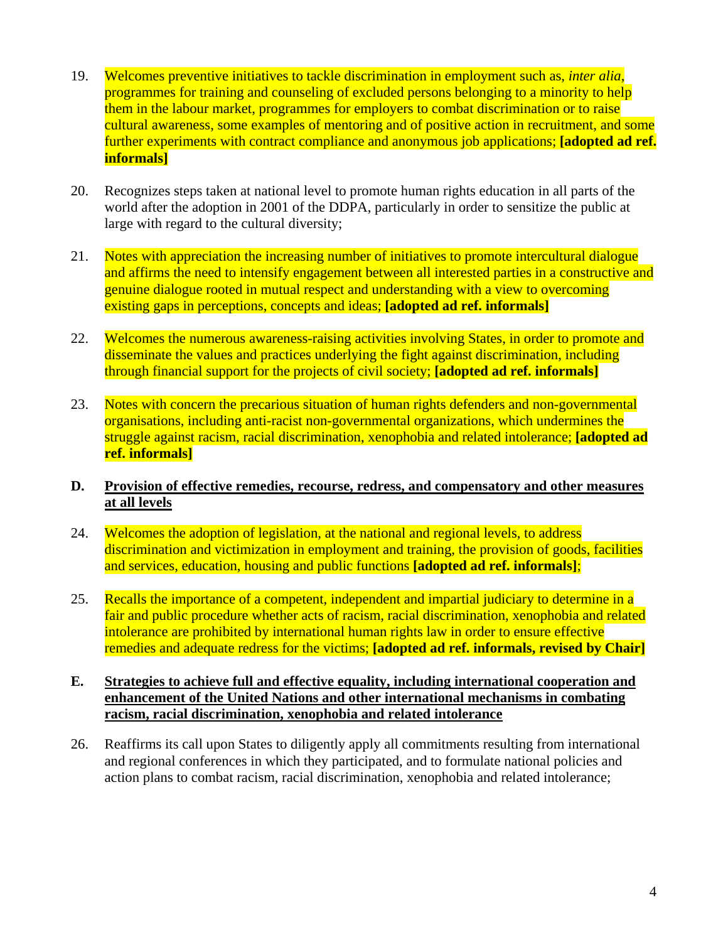- 19. Welcomes preventive initiatives to tackle discrimination in employment such as, *inter alia*, programmes for training and counseling of excluded persons belonging to a minority to help them in the labour market, programmes for employers to combat discrimination or to raise cultural awareness, some examples of mentoring and of positive action in recruitment, and some further experiments with contract compliance and anonymous job applications; **[adopted ad ref. informals]**
- 20. Recognizes steps taken at national level to promote human rights education in all parts of the world after the adoption in 2001 of the DDPA, particularly in order to sensitize the public at large with regard to the cultural diversity;
- 21. Notes with appreciation the increasing number of initiatives to promote intercultural dialogue and affirms the need to intensify engagement between all interested parties in a constructive and genuine dialogue rooted in mutual respect and understanding with a view to overcoming existing gaps in perceptions, concepts and ideas; **[adopted ad ref. informals]**
- 22. Welcomes the numerous awareness-raising activities involving States, in order to promote and disseminate the values and practices underlying the fight against discrimination, including through financial support for the projects of civil society; **[adopted ad ref. informals]**
- 23. Notes with concern the precarious situation of human rights defenders and non-governmental organisations, including anti-racist non-governmental organizations, which undermines the struggle against racism, racial discrimination, xenophobia and related intolerance; **[adopted ad ref. informals]**
- **D. Provision of effective remedies, recourse, redress, and compensatory and other measures at all levels**
- 24. Welcomes the adoption of legislation, at the national and regional levels, to address discrimination and victimization in employment and training, the provision of goods, facilities and services, education, housing and public functions **[adopted ad ref. informals]**;
- 25. Recalls the importance of a competent, independent and impartial judiciary to determine in a fair and public procedure whether acts of racism, racial discrimination, xenophobia and related intolerance are prohibited by international human rights law in order to ensure effective remedies and adequate redress for the victims; **[adopted ad ref. informals, revised by Chair]**
- **E. Strategies to achieve full and effective equality, including international cooperation and enhancement of the United Nations and other international mechanisms in combating racism, racial discrimination, xenophobia and related intolerance**
- 26. Reaffirms its call upon States to diligently apply all commitments resulting from international and regional conferences in which they participated, and to formulate national policies and action plans to combat racism, racial discrimination, xenophobia and related intolerance;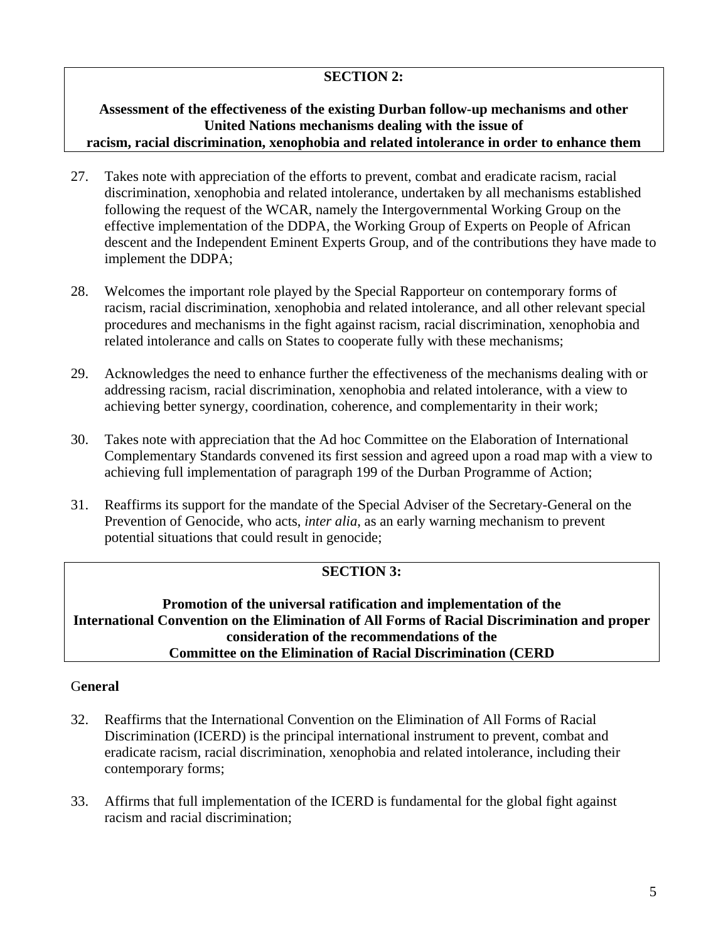## **SECTION 2:**

### **Assessment of the effectiveness of the existing Durban follow-up mechanisms and other United Nations mechanisms dealing with the issue of racism, racial discrimination, xenophobia and related intolerance in order to enhance them**

- 27. Takes note with appreciation of the efforts to prevent, combat and eradicate racism, racial discrimination, xenophobia and related intolerance, undertaken by all mechanisms established following the request of the WCAR, namely the Intergovernmental Working Group on the effective implementation of the DDPA, the Working Group of Experts on People of African descent and the Independent Eminent Experts Group, and of the contributions they have made to implement the DDPA;
- 28. Welcomes the important role played by the Special Rapporteur on contemporary forms of racism, racial discrimination, xenophobia and related intolerance, and all other relevant special procedures and mechanisms in the fight against racism, racial discrimination, xenophobia and related intolerance and calls on States to cooperate fully with these mechanisms;
- 29. Acknowledges the need to enhance further the effectiveness of the mechanisms dealing with or addressing racism, racial discrimination, xenophobia and related intolerance, with a view to achieving better synergy, coordination, coherence, and complementarity in their work;
- 30. Takes note with appreciation that the Ad hoc Committee on the Elaboration of International Complementary Standards convened its first session and agreed upon a road map with a view to achieving full implementation of paragraph 199 of the Durban Programme of Action;
- 31. Reaffirms its support for the mandate of the Special Adviser of the Secretary-General on the Prevention of Genocide, who acts, *inter alia*, as an early warning mechanism to prevent potential situations that could result in genocide;

# **SECTION 3:**

**Promotion of the universal ratification and implementation of the International Convention on the Elimination of All Forms of Racial Discrimination and proper consideration of the recommendations of the Committee on the Elimination of Racial Discrimination (CERD**

## G**eneral**

- 32. Reaffirms that the International Convention on the Elimination of All Forms of Racial Discrimination (ICERD) is the principal international instrument to prevent, combat and eradicate racism, racial discrimination, xenophobia and related intolerance, including their contemporary forms;
- 33. Affirms that full implementation of the ICERD is fundamental for the global fight against racism and racial discrimination;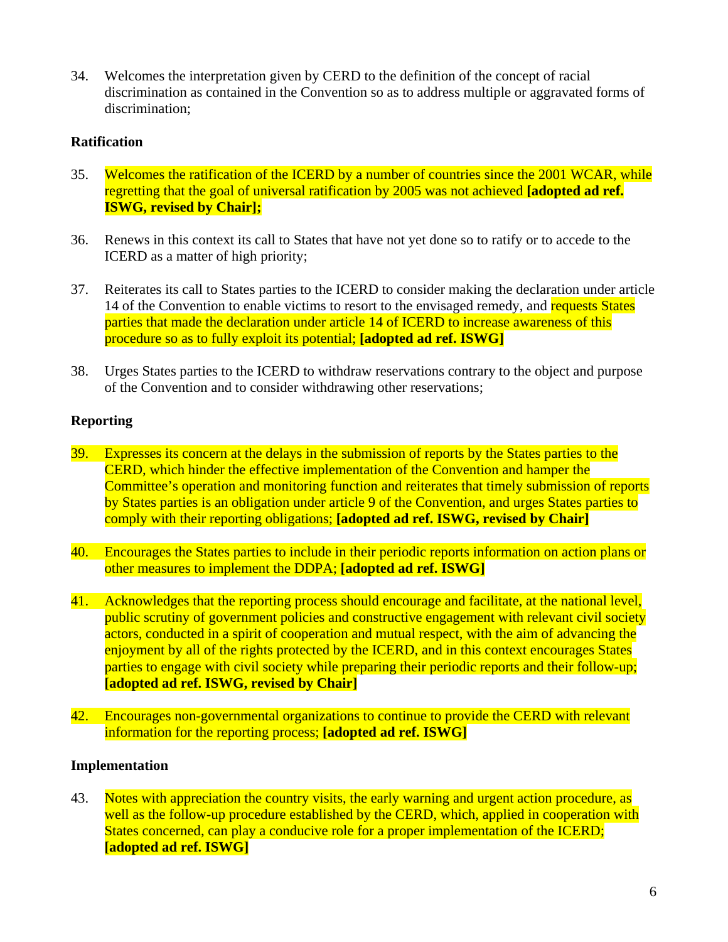34. Welcomes the interpretation given by CERD to the definition of the concept of racial discrimination as contained in the Convention so as to address multiple or aggravated forms of discrimination;

## **Ratification**

- 35. Welcomes the ratification of the ICERD by a number of countries since the 2001 WCAR, while regretting that the goal of universal ratification by 2005 was not achieved **[adopted ad ref. ISWG, revised by Chair];**
- 36. Renews in this context its call to States that have not yet done so to ratify or to accede to the ICERD as a matter of high priority;
- 37. Reiterates its call to States parties to the ICERD to consider making the declaration under article 14 of the Convention to enable victims to resort to the envisaged remedy, and requests States parties that made the declaration under article 14 of ICERD to increase awareness of this procedure so as to fully exploit its potential; **[adopted ad ref. ISWG]**
- 38. Urges States parties to the ICERD to withdraw reservations contrary to the object and purpose of the Convention and to consider withdrawing other reservations;

## **Reporting**

- 39. Expresses its concern at the delays in the submission of reports by the States parties to the CERD, which hinder the effective implementation of the Convention and hamper the Committee's operation and monitoring function and reiterates that timely submission of reports by States parties is an obligation under article 9 of the Convention, and urges States parties to comply with their reporting obligations; **[adopted ad ref. ISWG, revised by Chair]**
- 40. Encourages the States parties to include in their periodic reports information on action plans or other measures to implement the DDPA; **[adopted ad ref. ISWG]**
- 41. Acknowledges that the reporting process should encourage and facilitate, at the national level, public scrutiny of government policies and constructive engagement with relevant civil society actors, conducted in a spirit of cooperation and mutual respect, with the aim of advancing the enjoyment by all of the rights protected by the ICERD, and in this context encourages States parties to engage with civil society while preparing their periodic reports and their follow-up; **[adopted ad ref. ISWG, revised by Chair]**
- 42. Encourages non-governmental organizations to continue to provide the CERD with relevant information for the reporting process; **[adopted ad ref. ISWG]**

## **Implementation**

43. Notes with appreciation the country visits, the early warning and urgent action procedure, as well as the follow-up procedure established by the CERD, which, applied in cooperation with States concerned, can play a conducive role for a proper implementation of the ICERD; **[adopted ad ref. ISWG]**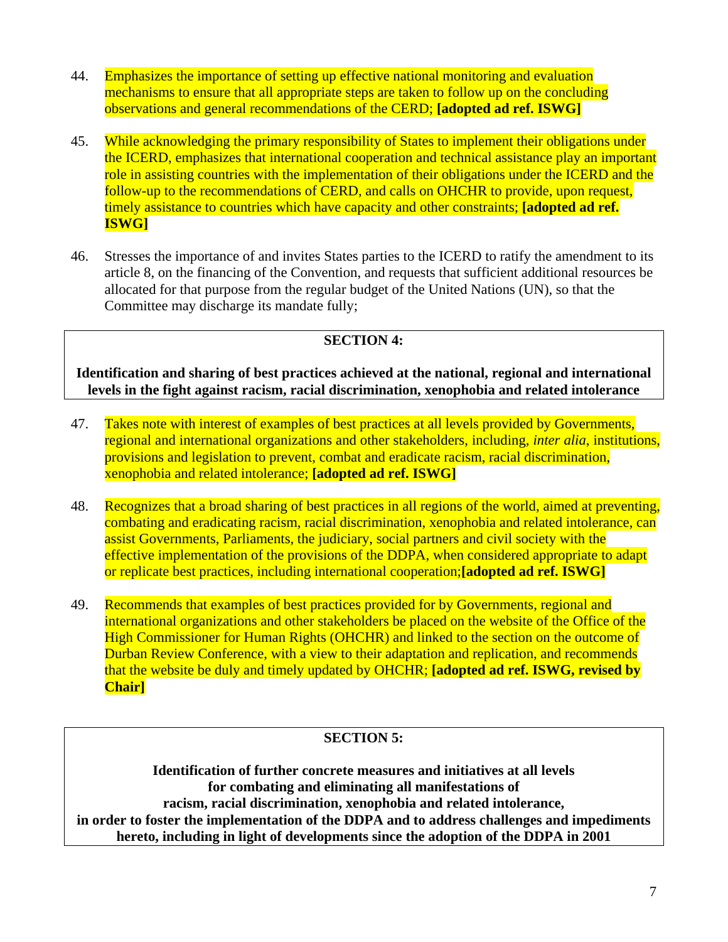- 44. Emphasizes the importance of setting up effective national monitoring and evaluation mechanisms to ensure that all appropriate steps are taken to follow up on the concluding observations and general recommendations of the CERD; **[adopted ad ref. ISWG]**
- 45. While acknowledging the primary responsibility of States to implement their obligations under the ICERD, emphasizes that international cooperation and technical assistance play an important role in assisting countries with the implementation of their obligations under the ICERD and the follow-up to the recommendations of CERD, and calls on OHCHR to provide, upon request, timely assistance to countries which have capacity and other constraints; **[adopted ad ref. ISWG]**
- 46. Stresses the importance of and invites States parties to the ICERD to ratify the amendment to its article 8, on the financing of the Convention, and requests that sufficient additional resources be allocated for that purpose from the regular budget of the United Nations (UN), so that the Committee may discharge its mandate fully;

# **SECTION 4:**

**Identification and sharing of best practices achieved at the national, regional and international levels in the fight against racism, racial discrimination, xenophobia and related intolerance** 

- 47. Takes note with interest of examples of best practices at all levels provided by Governments, regional and international organizations and other stakeholders, including, *inter alia*, institutions, provisions and legislation to prevent, combat and eradicate racism, racial discrimination, xenophobia and related intolerance; **[adopted ad ref. ISWG]**
- 48. Recognizes that a broad sharing of best practices in all regions of the world, aimed at preventing, combating and eradicating racism, racial discrimination, xenophobia and related intolerance, can assist Governments, Parliaments, the judiciary, social partners and civil society with the effective implementation of the provisions of the DDPA, when considered appropriate to adapt or replicate best practices, including international cooperation;**[adopted ad ref. ISWG]**
- 49. Recommends that examples of best practices provided for by Governments, regional and international organizations and other stakeholders be placed on the website of the Office of the High Commissioner for Human Rights (OHCHR) and linked to the section on the outcome of Durban Review Conference, with a view to their adaptation and replication, and recommends that the website be duly and timely updated by OHCHR; **[adopted ad ref. ISWG, revised by Chair]**

## **SECTION 5:**

**Identification of further concrete measures and initiatives at all levels for combating and eliminating all manifestations of racism, racial discrimination, xenophobia and related intolerance, in order to foster the implementation of the DDPA and to address challenges and impediments hereto, including in light of developments since the adoption of the DDPA in 2001**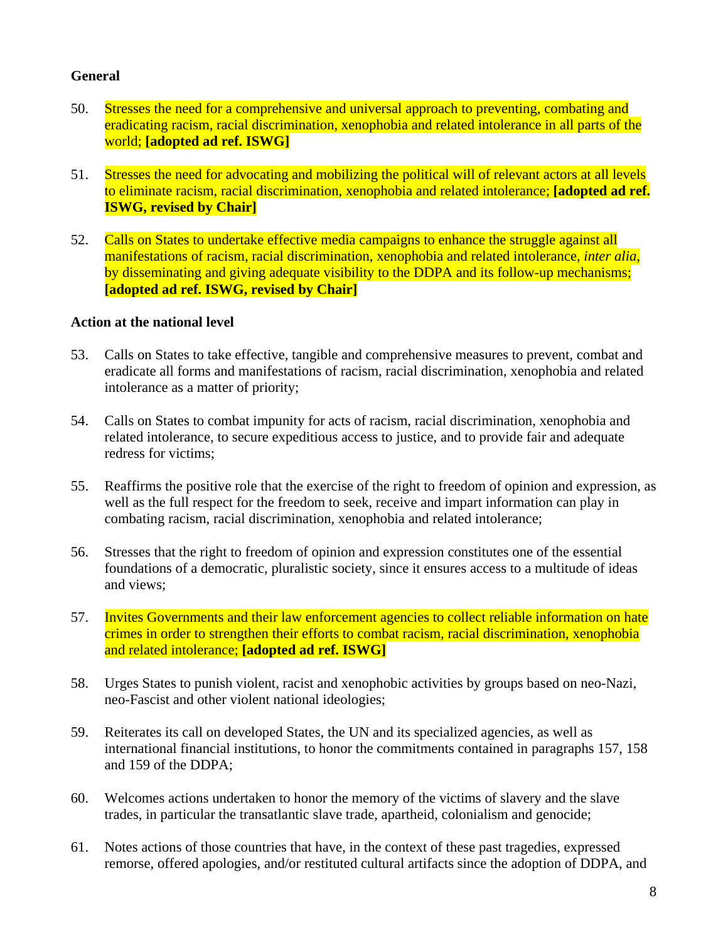## **General**

- 50. Stresses the need for a comprehensive and universal approach to preventing, combating and eradicating racism, racial discrimination, xenophobia and related intolerance in all parts of the world; **[adopted ad ref. ISWG]**
- 51. Stresses the need for advocating and mobilizing the political will of relevant actors at all levels to eliminate racism, racial discrimination, xenophobia and related intolerance; **[adopted ad ref. ISWG, revised by Chair]**
- 52. Calls on States to undertake effective media campaigns to enhance the struggle against all manifestations of racism, racial discrimination, xenophobia and related intolerance, *inter alia*, by disseminating and giving adequate visibility to the DDPA and its follow-up mechanisms; **[adopted ad ref. ISWG, revised by Chair]**

### **Action at the national level**

- 53. Calls on States to take effective, tangible and comprehensive measures to prevent, combat and eradicate all forms and manifestations of racism, racial discrimination, xenophobia and related intolerance as a matter of priority;
- 54. Calls on States to combat impunity for acts of racism, racial discrimination, xenophobia and related intolerance, to secure expeditious access to justice, and to provide fair and adequate redress for victims;
- 55. Reaffirms the positive role that the exercise of the right to freedom of opinion and expression, as well as the full respect for the freedom to seek, receive and impart information can play in combating racism, racial discrimination, xenophobia and related intolerance;
- 56. Stresses that the right to freedom of opinion and expression constitutes one of the essential foundations of a democratic, pluralistic society, since it ensures access to a multitude of ideas and views;
- 57. Invites Governments and their law enforcement agencies to collect reliable information on hate crimes in order to strengthen their efforts to combat racism, racial discrimination, xenophobia and related intolerance; **[adopted ad ref. ISWG]**
- 58. Urges States to punish violent, racist and xenophobic activities by groups based on neo-Nazi, neo-Fascist and other violent national ideologies;
- 59. Reiterates its call on developed States, the UN and its specialized agencies, as well as international financial institutions, to honor the commitments contained in paragraphs 157, 158 and 159 of the DDPA;
- 60. Welcomes actions undertaken to honor the memory of the victims of slavery and the slave trades, in particular the transatlantic slave trade, apartheid, colonialism and genocide;
- 61. Notes actions of those countries that have, in the context of these past tragedies, expressed remorse, offered apologies, and/or restituted cultural artifacts since the adoption of DDPA, and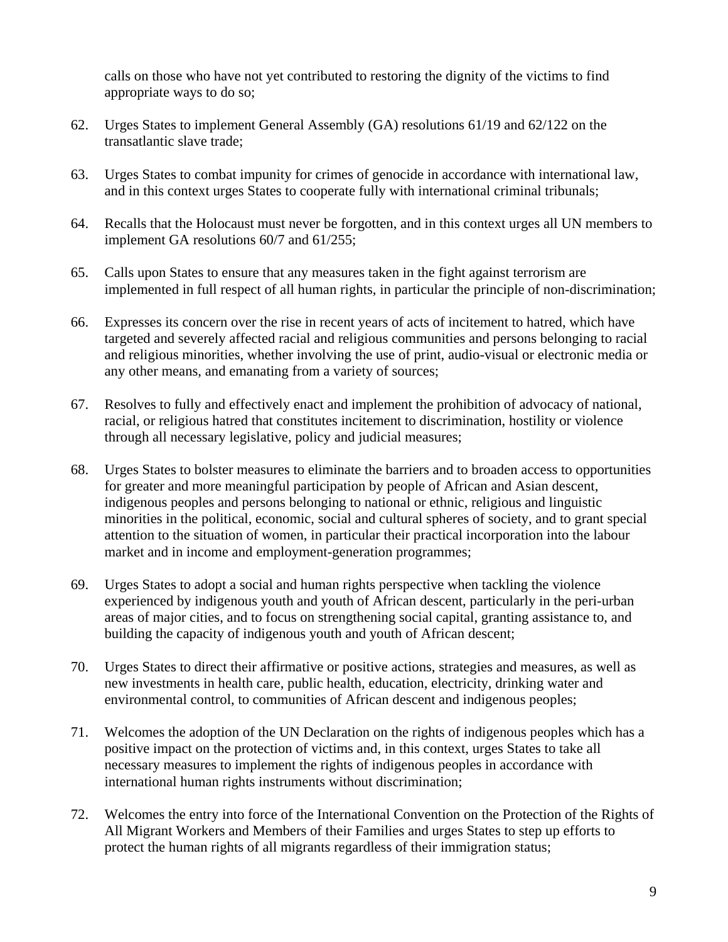calls on those who have not yet contributed to restoring the dignity of the victims to find appropriate ways to do so;

- 62. Urges States to implement General Assembly (GA) resolutions 61/19 and 62/122 on the transatlantic slave trade;
- 63. Urges States to combat impunity for crimes of genocide in accordance with international law, and in this context urges States to cooperate fully with international criminal tribunals;
- 64. Recalls that the Holocaust must never be forgotten, and in this context urges all UN members to implement GA resolutions 60/7 and 61/255;
- 65. Calls upon States to ensure that any measures taken in the fight against terrorism are implemented in full respect of all human rights, in particular the principle of non-discrimination;
- 66. Expresses its concern over the rise in recent years of acts of incitement to hatred, which have targeted and severely affected racial and religious communities and persons belonging to racial and religious minorities, whether involving the use of print, audio-visual or electronic media or any other means, and emanating from a variety of sources;
- 67. Resolves to fully and effectively enact and implement the prohibition of advocacy of national, racial, or religious hatred that constitutes incitement to discrimination, hostility or violence through all necessary legislative, policy and judicial measures;
- 68. Urges States to bolster measures to eliminate the barriers and to broaden access to opportunities for greater and more meaningful participation by people of African and Asian descent, indigenous peoples and persons belonging to national or ethnic, religious and linguistic minorities in the political, economic, social and cultural spheres of society, and to grant special attention to the situation of women, in particular their practical incorporation into the labour market and in income and employment-generation programmes;
- 69. Urges States to adopt a social and human rights perspective when tackling the violence experienced by indigenous youth and youth of African descent, particularly in the peri-urban areas of major cities, and to focus on strengthening social capital, granting assistance to, and building the capacity of indigenous youth and youth of African descent;
- 70. Urges States to direct their affirmative or positive actions, strategies and measures, as well as new investments in health care, public health, education, electricity, drinking water and environmental control, to communities of African descent and indigenous peoples;
- 71. Welcomes the adoption of the UN Declaration on the rights of indigenous peoples which has a positive impact on the protection of victims and, in this context, urges States to take all necessary measures to implement the rights of indigenous peoples in accordance with international human rights instruments without discrimination;
- 72. Welcomes the entry into force of the International Convention on the Protection of the Rights of All Migrant Workers and Members of their Families and urges States to step up efforts to protect the human rights of all migrants regardless of their immigration status;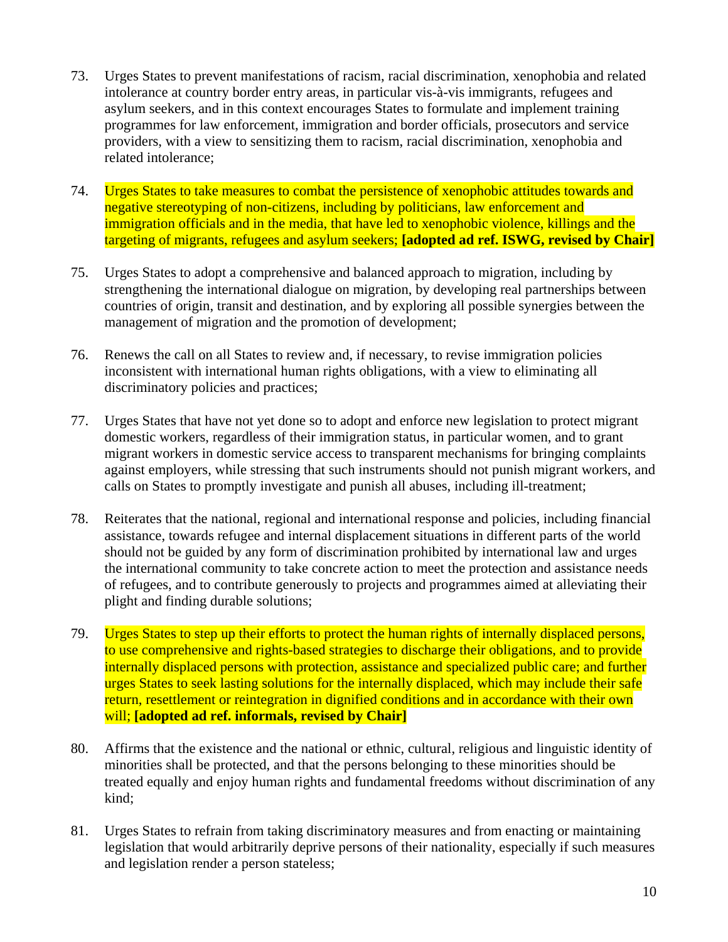- 73. Urges States to prevent manifestations of racism, racial discrimination, xenophobia and related intolerance at country border entry areas, in particular vis-à-vis immigrants, refugees and asylum seekers, and in this context encourages States to formulate and implement training programmes for law enforcement, immigration and border officials, prosecutors and service providers, with a view to sensitizing them to racism, racial discrimination, xenophobia and related intolerance;
- 74. Urges States to take measures to combat the persistence of xenophobic attitudes towards and negative stereotyping of non-citizens, including by politicians, law enforcement and immigration officials and in the media, that have led to xenophobic violence, killings and the targeting of migrants, refugees and asylum seekers; **[adopted ad ref. ISWG, revised by Chair]**
- 75. Urges States to adopt a comprehensive and balanced approach to migration, including by strengthening the international dialogue on migration, by developing real partnerships between countries of origin, transit and destination, and by exploring all possible synergies between the management of migration and the promotion of development;
- 76. Renews the call on all States to review and, if necessary, to revise immigration policies inconsistent with international human rights obligations, with a view to eliminating all discriminatory policies and practices;
- 77. Urges States that have not yet done so to adopt and enforce new legislation to protect migrant domestic workers, regardless of their immigration status, in particular women, and to grant migrant workers in domestic service access to transparent mechanisms for bringing complaints against employers, while stressing that such instruments should not punish migrant workers, and calls on States to promptly investigate and punish all abuses, including ill-treatment;
- 78. Reiterates that the national, regional and international response and policies, including financial assistance, towards refugee and internal displacement situations in different parts of the world should not be guided by any form of discrimination prohibited by international law and urges the international community to take concrete action to meet the protection and assistance needs of refugees, and to contribute generously to projects and programmes aimed at alleviating their plight and finding durable solutions;
- 79. Urges States to step up their efforts to protect the human rights of internally displaced persons, to use comprehensive and rights-based strategies to discharge their obligations, and to provide internally displaced persons with protection, assistance and specialized public care; and further urges States to seek lasting solutions for the internally displaced, which may include their safe return, resettlement or reintegration in dignified conditions and in accordance with their own will; **[adopted ad ref. informals, revised by Chair]**
- 80. Affirms that the existence and the national or ethnic, cultural, religious and linguistic identity of minorities shall be protected, and that the persons belonging to these minorities should be treated equally and enjoy human rights and fundamental freedoms without discrimination of any kind;
- 81. Urges States to refrain from taking discriminatory measures and from enacting or maintaining legislation that would arbitrarily deprive persons of their nationality, especially if such measures and legislation render a person stateless;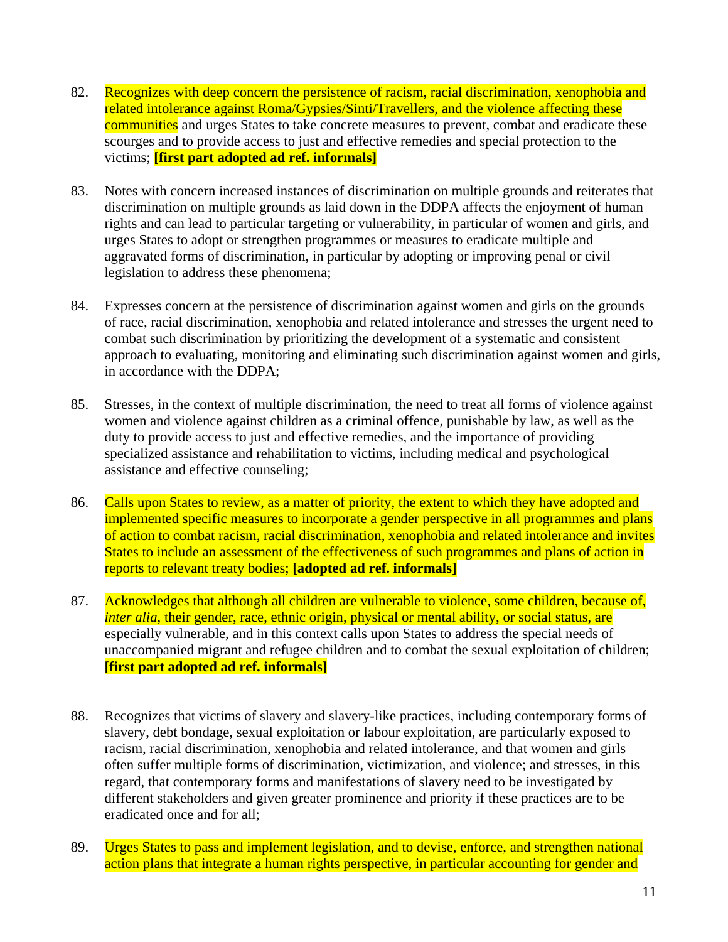- 82. Recognizes with deep concern the persistence of racism, racial discrimination, xenophobia and related intolerance against Roma/Gypsies/Sinti/Travellers, and the violence affecting these communities and urges States to take concrete measures to prevent, combat and eradicate these scourges and to provide access to just and effective remedies and special protection to the victims; **[first part adopted ad ref. informals]**
- 83. Notes with concern increased instances of discrimination on multiple grounds and reiterates that discrimination on multiple grounds as laid down in the DDPA affects the enjoyment of human rights and can lead to particular targeting or vulnerability, in particular of women and girls, and urges States to adopt or strengthen programmes or measures to eradicate multiple and aggravated forms of discrimination, in particular by adopting or improving penal or civil legislation to address these phenomena;
- 84. Expresses concern at the persistence of discrimination against women and girls on the grounds of race, racial discrimination, xenophobia and related intolerance and stresses the urgent need to combat such discrimination by prioritizing the development of a systematic and consistent approach to evaluating, monitoring and eliminating such discrimination against women and girls, in accordance with the DDPA;
- 85. Stresses, in the context of multiple discrimination, the need to treat all forms of violence against women and violence against children as a criminal offence, punishable by law, as well as the duty to provide access to just and effective remedies, and the importance of providing specialized assistance and rehabilitation to victims, including medical and psychological assistance and effective counseling;
- 86. Calls upon States to review, as a matter of priority, the extent to which they have adopted and implemented specific measures to incorporate a gender perspective in all programmes and plans of action to combat racism, racial discrimination, xenophobia and related intolerance and invites States to include an assessment of the effectiveness of such programmes and plans of action in reports to relevant treaty bodies; **[adopted ad ref. informals]**
- 87. Acknowledges that although all children are vulnerable to violence, some children, because of, *inter alia*, their gender, race, ethnic origin, physical or mental ability, or social status, are especially vulnerable, and in this context calls upon States to address the special needs of unaccompanied migrant and refugee children and to combat the sexual exploitation of children; **[first part adopted ad ref. informals]**
- 88. Recognizes that victims of slavery and slavery-like practices, including contemporary forms of slavery, debt bondage, sexual exploitation or labour exploitation, are particularly exposed to racism, racial discrimination, xenophobia and related intolerance, and that women and girls often suffer multiple forms of discrimination, victimization, and violence; and stresses, in this regard, that contemporary forms and manifestations of slavery need to be investigated by different stakeholders and given greater prominence and priority if these practices are to be eradicated once and for all;
- 89. Urges States to pass and implement legislation, and to devise, enforce, and strengthen national action plans that integrate a human rights perspective, in particular accounting for gender and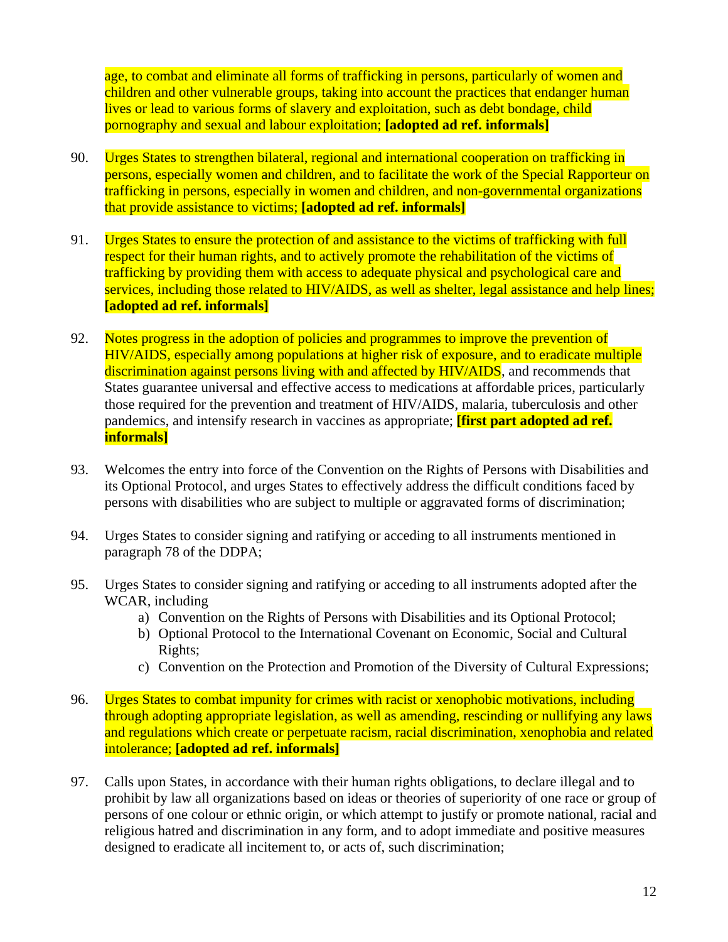age, to combat and eliminate all forms of trafficking in persons, particularly of women and children and other vulnerable groups, taking into account the practices that endanger human lives or lead to various forms of slavery and exploitation, such as debt bondage, child pornography and sexual and labour exploitation; **[adopted ad ref. informals]**

- 90. Urges States to strengthen bilateral, regional and international cooperation on trafficking in persons, especially women and children, and to facilitate the work of the Special Rapporteur on trafficking in persons, especially in women and children, and non-governmental organizations that provide assistance to victims; **[adopted ad ref. informals]**
- 91. Urges States to ensure the protection of and assistance to the victims of trafficking with full respect for their human rights, and to actively promote the rehabilitation of the victims of trafficking by providing them with access to adequate physical and psychological care and services, including those related to HIV/AIDS, as well as shelter, legal assistance and help lines; **[adopted ad ref. informals]**
- 92. Notes progress in the adoption of policies and programmes to improve the prevention of HIV/AIDS, especially among populations at higher risk of exposure, and to eradicate multiple discrimination against persons living with and affected by HIV/AIDS, and recommends that States guarantee universal and effective access to medications at affordable prices, particularly those required for the prevention and treatment of HIV/AIDS, malaria, tuberculosis and other pandemics, and intensify research in vaccines as appropriate; **[first part adopted ad ref. informals]**
- 93. Welcomes the entry into force of the Convention on the Rights of Persons with Disabilities and its Optional Protocol, and urges States to effectively address the difficult conditions faced by persons with disabilities who are subject to multiple or aggravated forms of discrimination;
- 94. Urges States to consider signing and ratifying or acceding to all instruments mentioned in paragraph 78 of the DDPA;
- 95. Urges States to consider signing and ratifying or acceding to all instruments adopted after the WCAR, including
	- a) Convention on the Rights of Persons with Disabilities and its Optional Protocol;
	- b) Optional Protocol to the International Covenant on Economic, Social and Cultural Rights;
	- c) Convention on the Protection and Promotion of the Diversity of Cultural Expressions;
- 96. Urges States to combat impunity for crimes with racist or xenophobic motivations, including through adopting appropriate legislation, as well as amending, rescinding or nullifying any laws and regulations which create or perpetuate racism, racial discrimination, xenophobia and related intolerance; **[adopted ad ref. informals]**
- 97. Calls upon States, in accordance with their human rights obligations, to declare illegal and to prohibit by law all organizations based on ideas or theories of superiority of one race or group of persons of one colour or ethnic origin, or which attempt to justify or promote national, racial and religious hatred and discrimination in any form, and to adopt immediate and positive measures designed to eradicate all incitement to, or acts of, such discrimination;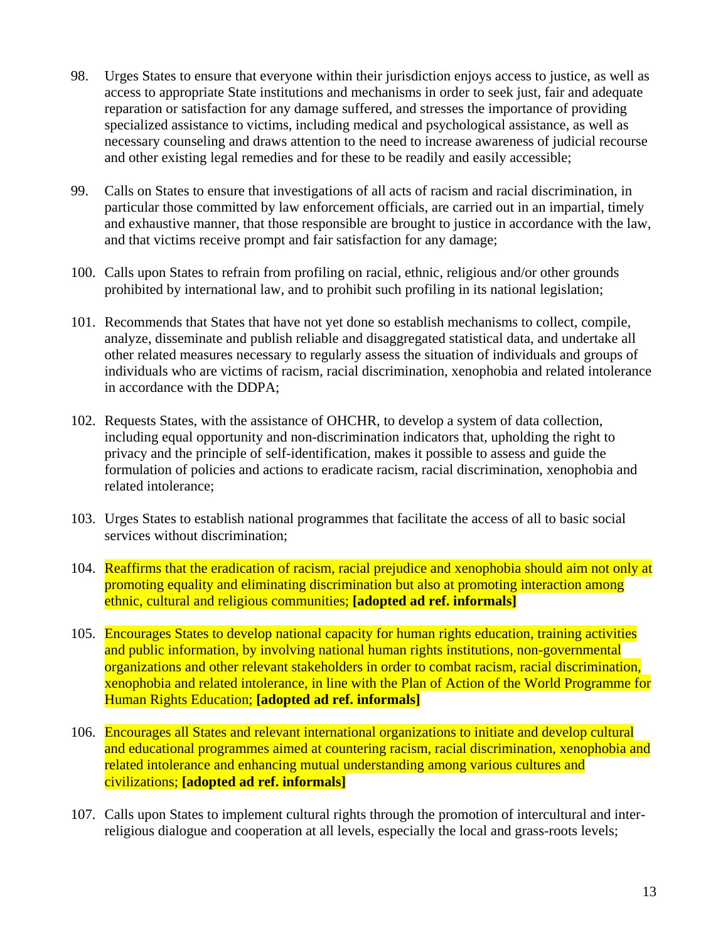- 98. Urges States to ensure that everyone within their jurisdiction enjoys access to justice, as well as access to appropriate State institutions and mechanisms in order to seek just, fair and adequate reparation or satisfaction for any damage suffered, and stresses the importance of providing specialized assistance to victims, including medical and psychological assistance, as well as necessary counseling and draws attention to the need to increase awareness of judicial recourse and other existing legal remedies and for these to be readily and easily accessible;
- 99. Calls on States to ensure that investigations of all acts of racism and racial discrimination, in particular those committed by law enforcement officials, are carried out in an impartial, timely and exhaustive manner, that those responsible are brought to justice in accordance with the law, and that victims receive prompt and fair satisfaction for any damage;
- 100. Calls upon States to refrain from profiling on racial, ethnic, religious and/or other grounds prohibited by international law, and to prohibit such profiling in its national legislation;
- 101. Recommends that States that have not yet done so establish mechanisms to collect, compile, analyze, disseminate and publish reliable and disaggregated statistical data, and undertake all other related measures necessary to regularly assess the situation of individuals and groups of individuals who are victims of racism, racial discrimination, xenophobia and related intolerance in accordance with the DDPA;
- 102. Requests States, with the assistance of OHCHR, to develop a system of data collection, including equal opportunity and non-discrimination indicators that, upholding the right to privacy and the principle of self-identification, makes it possible to assess and guide the formulation of policies and actions to eradicate racism, racial discrimination, xenophobia and related intolerance;
- 103. Urges States to establish national programmes that facilitate the access of all to basic social services without discrimination;
- 104. Reaffirms that the eradication of racism, racial prejudice and xenophobia should aim not only at promoting equality and eliminating discrimination but also at promoting interaction among ethnic, cultural and religious communities; **[adopted ad ref. informals]**
- 105. Encourages States to develop national capacity for human rights education, training activities and public information, by involving national human rights institutions, non-governmental organizations and other relevant stakeholders in order to combat racism, racial discrimination, xenophobia and related intolerance, in line with the Plan of Action of the World Programme for Human Rights Education; **[adopted ad ref. informals]**
- 106. Encourages all States and relevant international organizations to initiate and develop cultural and educational programmes aimed at countering racism, racial discrimination, xenophobia and related intolerance and enhancing mutual understanding among various cultures and civilizations; **[adopted ad ref. informals]**
- 107. Calls upon States to implement cultural rights through the promotion of intercultural and interreligious dialogue and cooperation at all levels, especially the local and grass-roots levels;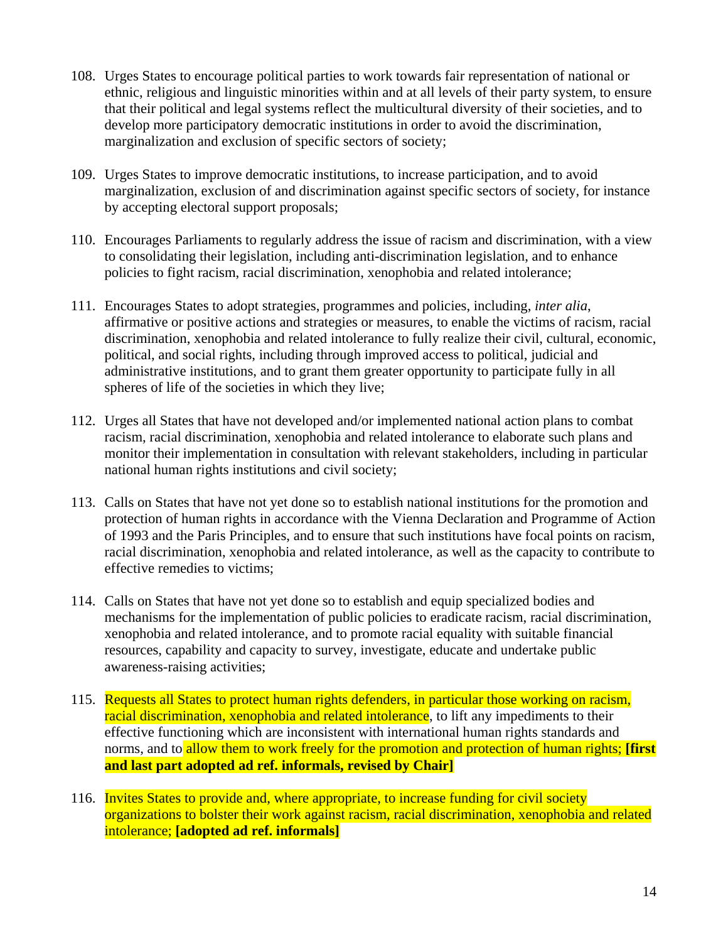- 108. Urges States to encourage political parties to work towards fair representation of national or ethnic, religious and linguistic minorities within and at all levels of their party system, to ensure that their political and legal systems reflect the multicultural diversity of their societies, and to develop more participatory democratic institutions in order to avoid the discrimination, marginalization and exclusion of specific sectors of society;
- 109. Urges States to improve democratic institutions, to increase participation, and to avoid marginalization, exclusion of and discrimination against specific sectors of society, for instance by accepting electoral support proposals;
- 110. Encourages Parliaments to regularly address the issue of racism and discrimination, with a view to consolidating their legislation, including anti-discrimination legislation, and to enhance policies to fight racism, racial discrimination, xenophobia and related intolerance;
- 111. Encourages States to adopt strategies, programmes and policies, including, *inter alia*, affirmative or positive actions and strategies or measures, to enable the victims of racism, racial discrimination, xenophobia and related intolerance to fully realize their civil, cultural, economic, political, and social rights, including through improved access to political, judicial and administrative institutions, and to grant them greater opportunity to participate fully in all spheres of life of the societies in which they live;
- 112. Urges all States that have not developed and/or implemented national action plans to combat racism, racial discrimination, xenophobia and related intolerance to elaborate such plans and monitor their implementation in consultation with relevant stakeholders, including in particular national human rights institutions and civil society;
- 113. Calls on States that have not yet done so to establish national institutions for the promotion and protection of human rights in accordance with the Vienna Declaration and Programme of Action of 1993 and the Paris Principles, and to ensure that such institutions have focal points on racism, racial discrimination, xenophobia and related intolerance, as well as the capacity to contribute to effective remedies to victims;
- 114. Calls on States that have not yet done so to establish and equip specialized bodies and mechanisms for the implementation of public policies to eradicate racism, racial discrimination, xenophobia and related intolerance, and to promote racial equality with suitable financial resources, capability and capacity to survey, investigate, educate and undertake public awareness-raising activities;
- 115. Requests all States to protect human rights defenders, in particular those working on racism, racial discrimination, xenophobia and related intolerance, to lift any impediments to their effective functioning which are inconsistent with international human rights standards and norms, and to allow them to work freely for the promotion and protection of human rights; **[first**] **and last part adopted ad ref. informals, revised by Chair]**
- 116. Invites States to provide and, where appropriate, to increase funding for civil society organizations to bolster their work against racism, racial discrimination, xenophobia and related intolerance; **[adopted ad ref. informals]**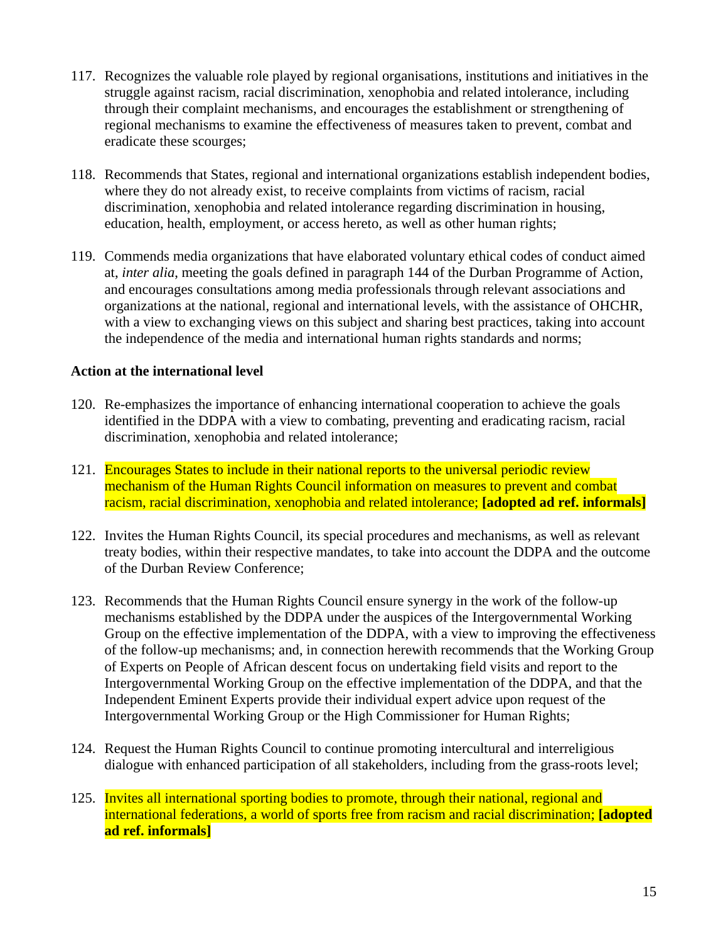- 117. Recognizes the valuable role played by regional organisations, institutions and initiatives in the struggle against racism, racial discrimination, xenophobia and related intolerance, including through their complaint mechanisms, and encourages the establishment or strengthening of regional mechanisms to examine the effectiveness of measures taken to prevent, combat and eradicate these scourges;
- 118. Recommends that States, regional and international organizations establish independent bodies, where they do not already exist, to receive complaints from victims of racism, racial discrimination, xenophobia and related intolerance regarding discrimination in housing, education, health, employment, or access hereto, as well as other human rights;
- 119. Commends media organizations that have elaborated voluntary ethical codes of conduct aimed at, *inter alia*, meeting the goals defined in paragraph 144 of the Durban Programme of Action, and encourages consultations among media professionals through relevant associations and organizations at the national, regional and international levels, with the assistance of OHCHR, with a view to exchanging views on this subject and sharing best practices, taking into account the independence of the media and international human rights standards and norms;

### **Action at the international level**

- 120. Re-emphasizes the importance of enhancing international cooperation to achieve the goals identified in the DDPA with a view to combating, preventing and eradicating racism, racial discrimination, xenophobia and related intolerance;
- 121. Encourages States to include in their national reports to the universal periodic review mechanism of the Human Rights Council information on measures to prevent and combat racism, racial discrimination, xenophobia and related intolerance; **[adopted ad ref. informals]**
- 122. Invites the Human Rights Council, its special procedures and mechanisms, as well as relevant treaty bodies, within their respective mandates, to take into account the DDPA and the outcome of the Durban Review Conference;
- 123. Recommends that the Human Rights Council ensure synergy in the work of the follow-up mechanisms established by the DDPA under the auspices of the Intergovernmental Working Group on the effective implementation of the DDPA, with a view to improving the effectiveness of the follow-up mechanisms; and, in connection herewith recommends that the Working Group of Experts on People of African descent focus on undertaking field visits and report to the Intergovernmental Working Group on the effective implementation of the DDPA, and that the Independent Eminent Experts provide their individual expert advice upon request of the Intergovernmental Working Group or the High Commissioner for Human Rights;
- 124. Request the Human Rights Council to continue promoting intercultural and interreligious dialogue with enhanced participation of all stakeholders, including from the grass-roots level;
- 125. Invites all international sporting bodies to promote, through their national, regional and international federations, a world of sports free from racism and racial discrimination; **[adopted ad ref. informals]**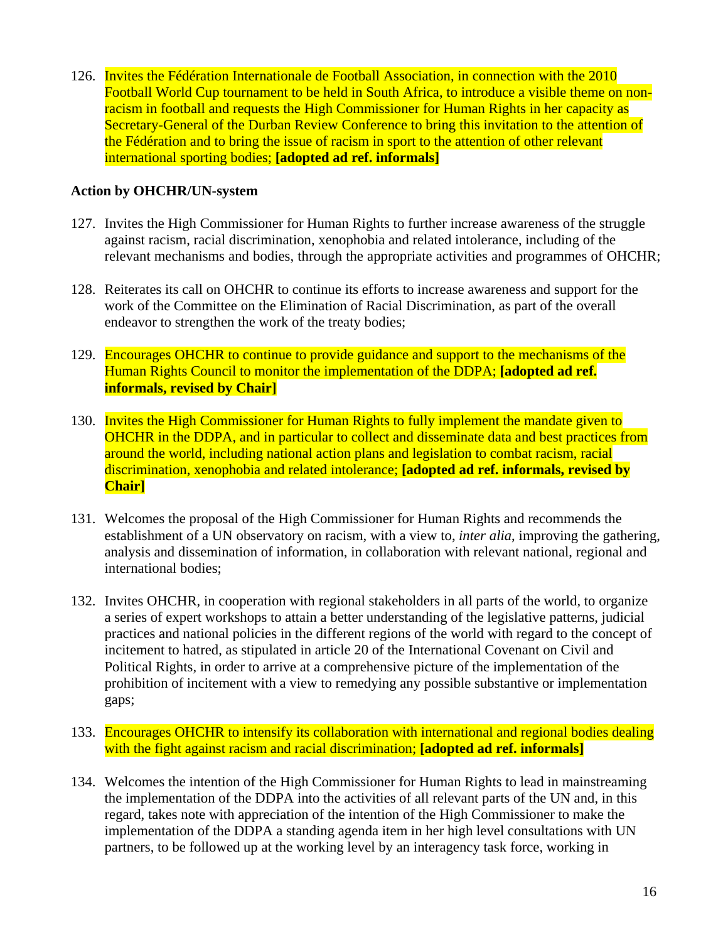126. Invites the Fédération Internationale de Football Association, in connection with the 2010 Football World Cup tournament to be held in South Africa, to introduce a visible theme on nonracism in football and requests the High Commissioner for Human Rights in her capacity as Secretary-General of the Durban Review Conference to bring this invitation to the attention of the Fédération and to bring the issue of racism in sport to the attention of other relevant international sporting bodies; **[adopted ad ref. informals]**

### **Action by OHCHR/UN-system**

- 127. Invites the High Commissioner for Human Rights to further increase awareness of the struggle against racism, racial discrimination, xenophobia and related intolerance, including of the relevant mechanisms and bodies, through the appropriate activities and programmes of OHCHR;
- 128. Reiterates its call on OHCHR to continue its efforts to increase awareness and support for the work of the Committee on the Elimination of Racial Discrimination, as part of the overall endeavor to strengthen the work of the treaty bodies;
- 129. Encourages OHCHR to continue to provide guidance and support to the mechanisms of the Human Rights Council to monitor the implementation of the DDPA; **[adopted ad ref. informals, revised by Chair]**
- 130. Invites the High Commissioner for Human Rights to fully implement the mandate given to OHCHR in the DDPA, and in particular to collect and disseminate data and best practices from around the world, including national action plans and legislation to combat racism, racial discrimination, xenophobia and related intolerance; **[adopted ad ref. informals, revised by Chair]**
- 131. Welcomes the proposal of the High Commissioner for Human Rights and recommends the establishment of a UN observatory on racism, with a view to, *inter alia*, improving the gathering, analysis and dissemination of information, in collaboration with relevant national, regional and international bodies;
- 132. Invites OHCHR, in cooperation with regional stakeholders in all parts of the world, to organize a series of expert workshops to attain a better understanding of the legislative patterns, judicial practices and national policies in the different regions of the world with regard to the concept of incitement to hatred, as stipulated in article 20 of the International Covenant on Civil and Political Rights, in order to arrive at a comprehensive picture of the implementation of the prohibition of incitement with a view to remedying any possible substantive or implementation gaps;
- 133. Encourages OHCHR to intensify its collaboration with international and regional bodies dealing with the fight against racism and racial discrimination; **[adopted ad ref. informals]**
- 134. Welcomes the intention of the High Commissioner for Human Rights to lead in mainstreaming the implementation of the DDPA into the activities of all relevant parts of the UN and, in this regard, takes note with appreciation of the intention of the High Commissioner to make the implementation of the DDPA a standing agenda item in her high level consultations with UN partners, to be followed up at the working level by an interagency task force, working in